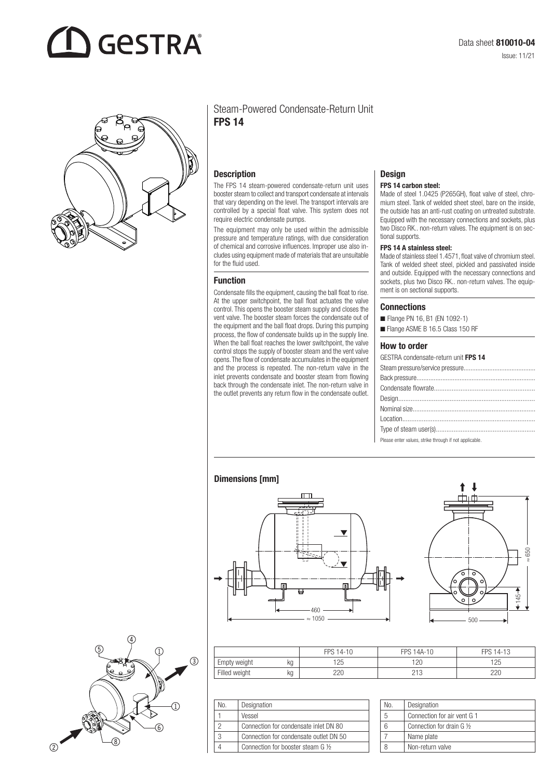# **GESTRA**



#### Steam-Powered Condensate-Return Unit FPS 14

#### **Description**

The FPS 14 steam-powered condensate-return unit uses booster steam to collect and transport condensate at intervals that vary depending on the level. The transport intervals are controlled by a special float valve. This system does not require electric condensate pumps.

The equipment may only be used within the admissible pressure and temperature ratings, with due consideration of chemical and corrosive influences. Improper use also includes using equipment made of materials that are unsuitable for the fluid used.

#### Function

Condensate fills the equipment, causing the ball float to rise. At the upper switchpoint, the ball float actuates the valve control. This opens the booster steam supply and closes the vent valve. The booster steam forces the condensate out of the equipment and the ball float drops. During this pumping process, the flow of condensate builds up in the supply line. When the ball float reaches the lower switchpoint, the valve control stops the supply of booster steam and the vent valve opens. The flow of condensate accumulates in the equipment and the process is repeated. The non-return valve in the inlet prevents condensate and booster steam from flowing back through the condensate inlet. The non-return valve in the outlet prevents any return flow in the condensate outlet.

### **Design**

#### FPS 14 carbon steel:

Made of steel 1.0425 (P265GH), float valve of steel, chromium steel. Tank of welded sheet steel, bare on the inside, the outside has an anti-rust coating on untreated substrate. Equipped with the necessary connections and sockets, plus two Disco RK.. non-return valves. The equipment is on sectional supports.

#### FPS 14 A stainless steel:

Made of stainless steel 1.4571, float valve of chromium steel. Tank of welded sheet steel, pickled and passivated inside and outside. Equipped with the necessary connections and sockets, plus two Disco RK.. non-return valves. The equipment is on sectional supports.

#### **Connections**

- Flange PN 16, B1 (EN 1092-1)
- Flange ASME B 16.5 Class 150 RF

#### How to order

| GESTRA condensate-return unit FPS 14 |
|--------------------------------------|
|                                      |
|                                      |
|                                      |
|                                      |
|                                      |
|                                      |
|                                      |
|                                      |

Please enter values, strike through if not applicable.

#### Dimensions [mm]







|               |    | FPS 14-10 | <b>FPS 14A-10</b>     | FPS 14-13 |
|---------------|----|-----------|-----------------------|-----------|
| Empty weight  | kg | 125       | 120                   | 125       |
| Filled weight | kg | 220       | $\sim$ $\sim$<br>ں اے | 220       |

| N٥. | Designation                            |
|-----|----------------------------------------|
|     | Vessel                                 |
|     | Connection for condensate inlet DN 80  |
|     | Connection for condensate outlet DN 50 |
|     | Connection for booster steam G 1/2     |

| No. | Designation                 |
|-----|-----------------------------|
| b   | Connection for air vent G 1 |
|     | Connection for drain G 1/2  |
|     | Name plate                  |
|     | Non-return valve            |